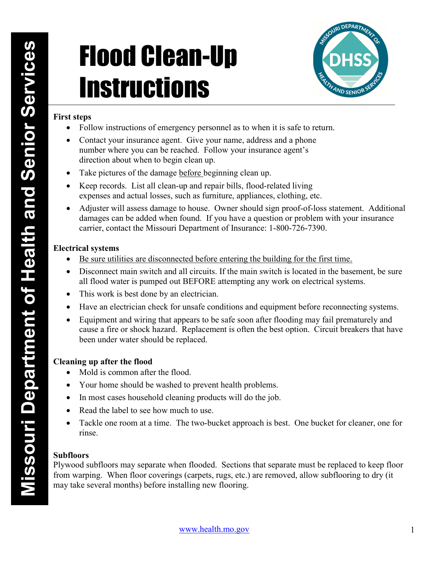# **EXECUTE:**<br>
First steps<br>
Follow instructions of emergency personnel at<br>
The Universe of the direction about when to begin clean-up and repair bill<br>
The pietures of the damage hefere begining<br>
The pietures of the damage hef **Instructions** Web the Senior Service Service Service Contact your insurance agent. Give your analysis of the contact your insurance agent. Give your annotation of the damage service you can be reached. Follow your insurance agent of the



# First steps

- Follow instructions of emergency personnel as to when it is safe to return.
- Contact your insurance agent. Give your name, address and a phone number where you can be reached. Follow your insurance agent's direction about when to begin clean up.
- Take pictures of the damage before beginning clean up.
- Keep records. List all clean-up and repair bills, flood-related living expenses and actual losses, such as furniture, appliances, clothing, etc.
- Adjuster will assess damage to house. Owner should sign proof-of-loss statement. Additional damages can be added when found. If you have a question or problem with your insurance carrier, contact the Missouri Department of Insurance: 1-800-726-7390.

# Electrical systems

- Be sure utilities are disconnected before entering the building for the first time.
- Disconnect main switch and all circuits. If the main switch is located in the basement, be sure all flood water is pumped out BEFORE attempting any work on electrical systems.
- This work is best done by an electrician.
- Have an electrician check for unsafe conditions and equipment before reconnecting systems.
- Equipment and wiring that appears to be safe soon after flooding may fail prematurely and cause a fire or shock hazard. Replacement is often the best option. Circuit breakers that have been under water should be replaced.

# Cleaning up after the flood

- Mold is common after the flood.
- Your home should be washed to prevent health problems.
- In most cases household cleaning products will do the job.
- Read the label to see how much to use.
- Tackle one room at a time. The two-bucket approach is best. One bucket for cleaner, one for rinse.

# Subfloors

Plywood subfloors may separate when flooded. Sections that separate must be replaced to keep floor from warping. When floor coverings (carpets, rugs, etc.) are removed, allow subflooring to dry (it may take several months) before installing new flooring.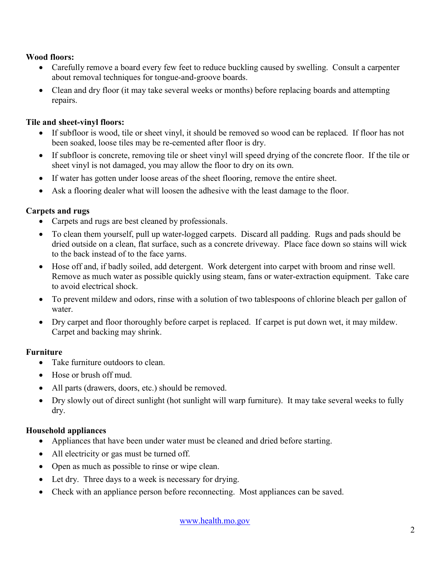### Wood floors:

- Carefully remove a board every few feet to reduce buckling caused by swelling. Consult a carpenter about removal techniques for tongue-and-groove boards.
- Clean and dry floor (it may take several weeks or months) before replacing boards and attempting repairs.

# Tile and sheet-vinyl floors:

- If subfloor is wood, tile or sheet vinyl, it should be removed so wood can be replaced. If floor has not been soaked, loose tiles may be re-cemented after floor is dry.
- If subfloor is concrete, removing tile or sheet vinyl will speed drying of the concrete floor. If the tile or sheet vinyl is not damaged, you may allow the floor to dry on its own.
- If water has gotten under loose areas of the sheet flooring, remove the entire sheet.
- Ask a flooring dealer what will loosen the adhesive with the least damage to the floor.

# Carpets and rugs

- Carpets and rugs are best cleaned by professionals.
- To clean them yourself, pull up water-logged carpets. Discard all padding. Rugs and pads should be dried outside on a clean, flat surface, such as a concrete driveway. Place face down so stains will wick to the back instead of to the face yarns.
- Hose off and, if badly soiled, add detergent. Work detergent into carpet with broom and rinse well. Remove as much water as possible quickly using steam, fans or water-extraction equipment. Take care to avoid electrical shock.
- To prevent mildew and odors, rinse with a solution of two tablespoons of chlorine bleach per gallon of water.
- Dry carpet and floor thoroughly before carpet is replaced. If carpet is put down wet, it may mildew. Carpet and backing may shrink.

# Furniture

- Take furniture outdoors to clean.
- Hose or brush off mud.
- All parts (drawers, doors, etc.) should be removed.
- Dry slowly out of direct sunlight (hot sunlight will warp furniture). It may take several weeks to fully dry.

# Household appliances

- Appliances that have been under water must be cleaned and dried before starting.
- All electricity or gas must be turned off.
- Open as much as possible to rinse or wipe clean.
- Let dry. Three days to a week is necessary for drying.
- Check with an appliance person before reconnecting. Most appliances can be saved.

www.health.mo.gov